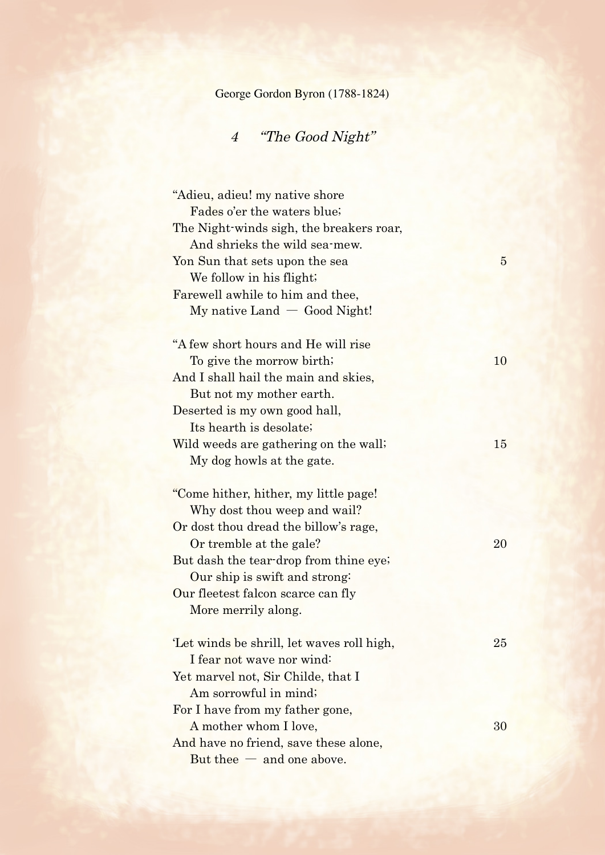George Gordon Byron (1788-1824)

## 4 "The Good Night"

| "Adieu, adieu! my native shore            |                |
|-------------------------------------------|----------------|
| Fades o'er the waters blue;               |                |
| The Night-winds sigh, the breakers roar,  |                |
| And shrieks the wild sea-mew.             |                |
| Yon Sun that sets upon the sea            | $\overline{5}$ |
| We follow in his flight;                  |                |
| Farewell awhile to him and thee,          |                |
| $My$ native Land $-$ Good Night!          |                |
| "A few short hours and He will rise       |                |
| To give the morrow birth;                 | 10             |
| And I shall hail the main and skies,      |                |
| But not my mother earth.                  |                |
| Deserted is my own good hall,             |                |
| Its hearth is desolate;                   |                |
| Wild weeds are gathering on the wall.     | 15             |
| My dog howls at the gate.                 |                |
| "Come hither, hither, my little page!     |                |
| Why dost thou weep and wail?              |                |
| Or dost thou dread the billow's rage,     |                |
| Or tremble at the gale?                   | 20             |
| But dash the tear-drop from thine eye;    |                |
| Our ship is swift and strong:             |                |
| Our fleetest falcon scarce can fly        |                |
| More merrily along.                       |                |
|                                           |                |
| Let winds be shrill, let waves roll high, | 25             |
| I fear not wave nor wind:                 |                |
| Yet marvel not, Sir Childe, that I        |                |
| Am sorrowful in mind;                     |                |
| For I have from my father gone,           |                |
| A mother whom I love,                     | 30             |
| And have no friend, save these alone,     |                |
| $But$ thee $-$ and one above.             |                |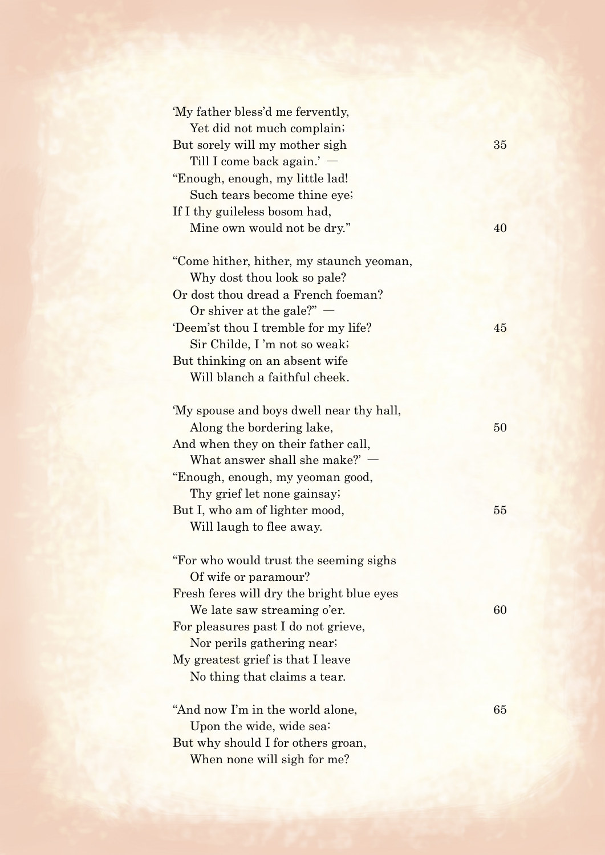| 'My father bless'd me fervently,          |    |
|-------------------------------------------|----|
| Yet did not much complain;                |    |
| But sorely will my mother sigh            | 35 |
| Till I come back $\alpha$ again.' $-$     |    |
| "Enough, enough, my little lad!           |    |
| Such tears become thine eye;              |    |
| If I thy guileless bosom had,             |    |
| Mine own would not be dry."               | 40 |
|                                           |    |
| "Come hither, hither, my staunch yeoman,  |    |
| Why dost thou look so pale?               |    |
| Or dost thou dread a French foeman?       |    |
| Or shiver at the gale?" $-$               |    |
| Deem'st thou I tremble for my life?       | 45 |
| Sir Childe, I'm not so weak;              |    |
| But thinking on an absent wife            |    |
| Will blanch a faithful cheek.             |    |
|                                           |    |
| 'My spouse and boys dwell near thy hall,  |    |
| Along the bordering lake,                 | 50 |
| And when they on their father call,       |    |
| What answer shall she make?'              |    |
| "Enough, enough, my yeoman good,          |    |
| Thy grief let none gainsay;               |    |
| But I, who am of lighter mood,            | 55 |
|                                           |    |
| Will laugh to flee away.                  |    |
| "For who would trust the seeming sighs    |    |
| Of wife or paramour?                      |    |
| Fresh feres will dry the bright blue eyes |    |
| We late saw streaming o'er.               | 60 |
|                                           |    |
| For pleasures past I do not grieve,       |    |
| Nor perils gathering near;                |    |
| My greatest grief is that I leave         |    |
| No thing that claims a tear.              |    |
| "And now I'm in the world alone,          | 65 |
| Upon the wide, wide sea:                  |    |
| But why should I for others groan,        |    |
| When none will sigh for me?               |    |
|                                           |    |